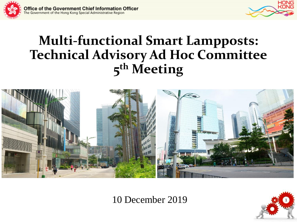



# **Multi-functional Smart Lampposts: Technical Advisory Ad Hoc Committee 5 th Meeting**



10 December 2019 <sup>1</sup>

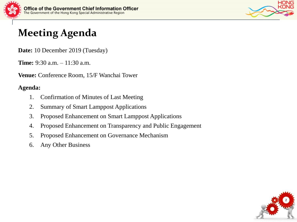



# **Meeting Agenda**

**Date:** 10 December 2019 (Tuesday)

**Time:** 9:30 a.m. – 11:30 a.m.

**Venue:** Conference Room, 15/F Wanchai Tower

#### **Agenda:**

- 1. Confirmation of Minutes of Last Meeting
- 2. Summary of Smart Lamppost Applications
- 3. Proposed Enhancement on Smart Lamppost Applications
- 4. Proposed Enhancement on Transparency and Public Engagement
- 5. Proposed Enhancement on Governance Mechanism
- 6. Any Other Business

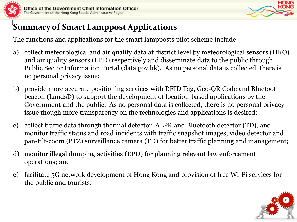



# **Summary of Smart Lamppost Applications**

The functions and applications for the smart lampposts pilot scheme include:

- a) collect meteorological and air quality data at district level by meteorological sensors (HKO) and air quality sensors (EPD) respectively and disseminate data to the public through Public Sector Information Portal (data.gov.hk). As no personal data is collected, there is no personal privacy issue;
- b) provide more accurate positioning services with RFID Tag, Geo-QR Code and Bluetooth beacon (LandsD) to support the development of location-based applications by the Government and the public. As no personal data is collected, there is no personal privacy issue though more transparency on the technologies and applications is desired;
- c) collect traffic data through thermal detector, ALPR and Bluetooth detector (TD), and monitor traffic status and road incidents with traffic snapshot images, video detector and pan-tilt-zoom (PTZ) surveillance camera (TD) for better traffic planning and management;
- d) monitor illegal dumping activities (EPD) for planning relevant law enforcement operations; and
- e) facilitate 5G network development of Hong Kong and provision of free Wi-Fi services for the public and tourists.

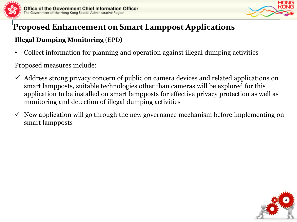

#### **Illegal Dumping Monitoring** (EPD)

• Collect information for planning and operation against illegal dumping activities

- $\checkmark$  Address strong privacy concern of public on camera devices and related applications on smart lampposts, suitable technologies other than cameras will be explored for this application to be installed on smart lampposts for effective privacy protection as well as monitoring and detection of illegal dumping activities
- $\checkmark$  New application will go through the new governance mechanism before implementing on smart lampposts

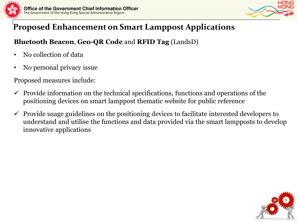

#### **Bluetooth Beacon**, **Geo-QR Code** and **RFID Tag** (LandsD)

- No collection of data
- No personal privacy issue

- $\checkmark$  Provide information on the technical specifications, functions and operations of the positioning devices on smart lamppost thematic website for public reference
- $\checkmark$  Provide usage guidelines on the positioning devices to facilitate interested developers to understand and utilise the functions and data provided via the smart lampposts to develop innovative applications

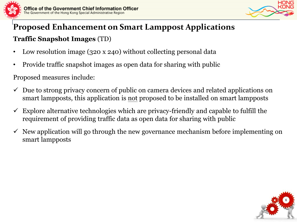



# **Proposed Enhancement on Smart Lamppost Applications Traffic Snapshot Images** (TD)

- Low resolution image (320 x 240) without collecting personal data
- Provide traffic snapshot images as open data for sharing with public

- $\checkmark$  Due to strong privacy concern of public on camera devices and related applications on smart lampposts, this application is not proposed to be installed on smart lampposts
- Explore alternative technologies which are privacy-friendly and capable to fulfill the requirement of providing traffic data as open data for sharing with public
- $\checkmark$  New application will go through the new governance mechanism before implementing on smart lampposts

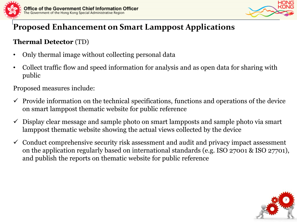

### **Thermal Detector** (TD)

- Only thermal image without collecting personal data
- Collect traffic flow and speed information for analysis and as open data for sharing with public

- $\checkmark$  Provide information on the technical specifications, functions and operations of the device on smart lamppost thematic website for public reference
- $\checkmark$  Display clear message and sample photo on smart lampposts and sample photo via smart lamppost thematic website showing the actual views collected by the device
- $\checkmark$  Conduct comprehensive security risk assessment and audit and privacy impact assessment on the application regularly based on international standards (e.g. ISO 27001 & ISO 27701), and publish the reports on thematic website for public reference

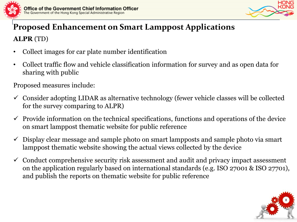

- Collect images for car plate number identification
- Collect traffic flow and vehicle classification information for survey and as open data for sharing with public

- $\checkmark$  Consider adopting LIDAR as alternative technology (fewer vehicle classes will be collected for the survey comparing to ALPR)
- $\checkmark$  Provide information on the technical specifications, functions and operations of the device on smart lamppost thematic website for public reference
- $\checkmark$  Display clear message and sample photo on smart lampposts and sample photo via smart lamppost thematic website showing the actual views collected by the device
- $\checkmark$  Conduct comprehensive security risk assessment and audit and privacy impact assessment on the application regularly based on international standards (e.g. ISO 27001 & ISO 27701), and publish the reports on thematic website for public reference

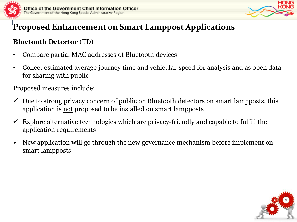

#### **Bluetooth Detector** (TD)

- Compare partial MAC addresses of Bluetooth devices
- Collect estimated average journey time and vehicular speed for analysis and as open data for sharing with public

- $\checkmark$  Due to strong privacy concern of public on Bluetooth detectors on smart lampposts, this application is not proposed to be installed on smart lampposts
- $\checkmark$  Explore alternative technologies which are privacy-friendly and capable to fulfill the application requirements
- $\checkmark$  New application will go through the new governance mechanism before implement on smart lampposts



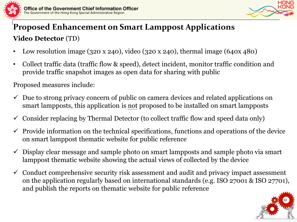

# **Proposed Enhancement on Smart Lamppost Applications Video Detector** (TD)

- Low resolution image (320 x 240), video (320 x 240), thermal image (640x 480)
- Collect traffic data (traffic flow & speed), detect incident, monitor traffic condition and provide traffic snapshot images as open data for sharing with public

- $\checkmark$  Due to strong privacy concern of public on camera devices and related applications on smart lampposts, this application is not proposed to be installed on smart lampposts
- $\checkmark$  Consider replacing by Thermal Detector (to collect traffic flow and speed data only)
- $\checkmark$  Provide information on the technical specifications, functions and operations of the device on smart lamppost thematic website for public reference
- $\checkmark$  Display clear message and sample photo on smart lampposts and sample photo via smart lamppost thematic website showing the actual views of collected by the device
- $\checkmark$  Conduct comprehensive security risk assessment and audit and privacy impact assessment on the application regularly based on international standards (e.g. ISO 27001 & ISO 27701), and publish the reports on thematic website for public reference

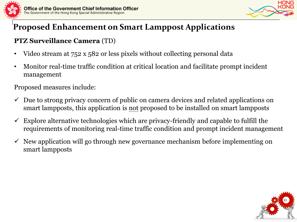

#### **PTZ Surveillance Camera** (TD)

- Video stream at 752 x 582 or less pixels without collecting personal data
- Monitor real-time traffic condition at critical location and facilitate prompt incident management

- $\checkmark$  Due to strong privacy concern of public on camera devices and related applications on smart lampposts, this application is not proposed to be installed on smart lampposts
- $\checkmark$  Explore alternative technologies which are privacy-friendly and capable to fulfill the requirements of monitoring real-time traffic condition and prompt incident management
- $\checkmark$  New application will go through new governance mechanism before implementing on smart lampposts

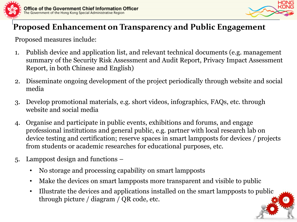



12

# **Proposed Enhancement on Transparency and Public Engagement**

- 1. Publish device and application list, and relevant technical documents (e.g. management summary of the Security Risk Assessment and Audit Report, Privacy Impact Assessment Report, in both Chinese and English)
- 2. Disseminate ongoing development of the project periodically through website and social media
- 3. Develop promotional materials, e.g. short videos, infographics, FAQs, etc. through website and social media
- 4. Organise and participate in public events, exhibitions and forums, and engage professional institutions and general public, e.g. partner with local research lab on device testing and certification; reserve spaces in smart lampposts for devices / projects from students or academic researches for educational purposes, etc.
- 5. Lamppost design and functions
	- No storage and processing capability on smart lampposts
	- Make the devices on smart lampposts more transparent and visible to public
	- Illustrate the devices and applications installed on the smart lampposts to public through picture / diagram / QR code, etc.